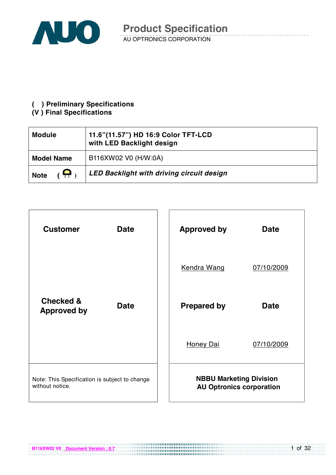

#### **( ) Preliminary Specifications**

#### **(V ) Final Specifications**

| <b>Module</b>     | 11.6"(11.57") HD 16:9 Color TFT-LCD<br>with LED Backlight design |
|-------------------|------------------------------------------------------------------|
| <b>Model Name</b> | B116XW02 V0 (H/W:0A)                                             |
| <b>Note</b>       | <b>LED Backlight with driving circuit design</b>                 |



**B116XW02 V0** <u>Document Version : 0.7</u><br>**B116XW02 V0** Document Version : 0.7

1 of 32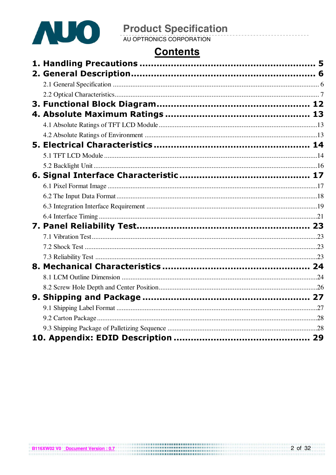

# **Product Specification**<br>AU OPTRONICS CORPORATION

# **Contents**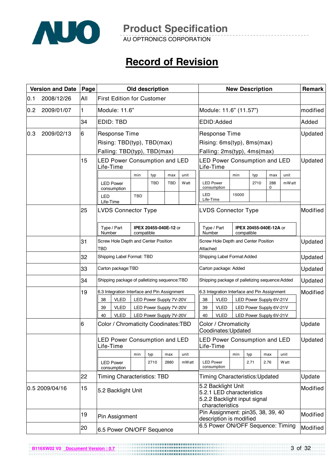

AU OPTRONICS CORPORATION

# **Record of Revision**

|     | <b>Version and Date</b> | Page |                                                   |                                      | Old description |                         |          |                                                                                                    |                                                               |       | <b>New Description</b>  |          |          |       | <b>Remark</b> |
|-----|-------------------------|------|---------------------------------------------------|--------------------------------------|-----------------|-------------------------|----------|----------------------------------------------------------------------------------------------------|---------------------------------------------------------------|-------|-------------------------|----------|----------|-------|---------------|
| 0.1 | 2008/12/26              | All  | <b>First Edition for Customer</b>                 |                                      |                 |                         |          |                                                                                                    |                                                               |       |                         |          |          |       |               |
| 0.2 | 2009/01/07              | 1    | Module: 11.6"                                     |                                      |                 |                         |          |                                                                                                    | Module: 11.6" (11.57")                                        |       |                         |          |          |       | modified      |
|     |                         | 34   | EDID: TBD                                         |                                      |                 |                         |          |                                                                                                    | EDID:Added                                                    |       |                         |          |          |       | Added         |
| 0.3 | 2009/02/13              | 6    | <b>Response Time</b>                              |                                      |                 |                         |          |                                                                                                    | <b>Response Time</b>                                          |       |                         |          |          |       | Updated       |
|     |                         |      | Rising: TBD(typ), TBD(max)                        |                                      |                 |                         |          |                                                                                                    | Rising: 6ms(typ), 8ms(max)                                    |       |                         |          |          |       |               |
|     |                         |      | Falling: TBD(typ), TBD(max)                       |                                      |                 |                         |          | Falling: 2ms(typ), 4ms(max)                                                                        |                                                               |       |                         |          |          |       |               |
|     |                         | 15   | Life-Time                                         | <b>LED Power Consumption and LED</b> |                 |                         |          | <b>LED Power Consumption and LED</b><br>Life-Time                                                  |                                                               |       |                         |          | Updated  |       |               |
|     |                         |      |                                                   | min<br>unit<br>typ<br>max            |                 |                         |          |                                                                                                    | min                                                           | typ   |                         | max      | unit     |       |               |
|     |                         |      | <b>LED Power</b><br>consumption                   |                                      | <b>TBD</b>      | <b>TBD</b>              | Watt     |                                                                                                    | <b>LED Power</b><br>consumption                               |       | 2710                    |          | 288<br>0 | mWatt |               |
|     |                         |      | <b>LED</b><br>Life-Time                           | TBD                                  |                 |                         |          | LED<br>Life-Time                                                                                   |                                                               | 15000 |                         |          |          |       |               |
|     |                         | 25   | <b>LVDS Connector Type</b>                        |                                      |                 |                         |          |                                                                                                    | <b>LVDS Connector Type</b>                                    |       |                         |          |          |       | Modified      |
|     |                         |      |                                                   |                                      |                 |                         |          |                                                                                                    |                                                               |       |                         |          |          |       |               |
|     |                         |      | Type / Part<br>Number                             | IPEX 20455-040E-12 or<br>compatible  |                 |                         |          |                                                                                                    | Type / Part<br>IPEX 20455-040E-12A or<br>Number<br>compatible |       |                         |          |          |       |               |
|     |                         | 31   | Screw Hole Depth and Center Position              |                                      |                 |                         |          | Screw Hole Depth and Center Position                                                               |                                                               |       |                         |          | Updated  |       |               |
|     |                         |      | TBD                                               |                                      |                 |                         | Attached |                                                                                                    |                                                               |       |                         |          |          |       |               |
|     |                         | 32   |                                                   | Shipping Label Format: TBD           |                 |                         |          |                                                                                                    | Shipping Label Format:Added                                   |       |                         |          |          |       | Updated       |
|     |                         | 33   | Carton package:TBD                                |                                      |                 |                         |          |                                                                                                    | Carton package: Added                                         |       |                         |          |          |       | Updated       |
|     |                         | 34   | Shipping package of palletizing sequence:TBD      |                                      |                 |                         |          | Shipping package of palletizing sequence: Added                                                    |                                                               |       |                         |          | Updated  |       |               |
|     |                         | 19   | 6.3 Integration Interface and Pin Assignment      |                                      |                 |                         |          | 6.3 Integration Interface and Pin Assignment                                                       |                                                               |       |                         | Modified |          |       |               |
|     |                         |      | 38<br><b>VLED</b>                                 |                                      |                 | LED Power Supply 7V-20V |          | 38<br><b>VLED</b><br>LED Power Supply 6V-21V                                                       |                                                               |       |                         |          |          |       |               |
|     |                         |      | <b>VLED</b><br>39                                 |                                      |                 | LED Power Supply 7V-20V |          | 39                                                                                                 | <b>VLED</b>                                                   |       | LED Power Supply 6V-21V |          |          |       |               |
|     |                         |      | <b>VLED</b><br>40                                 |                                      |                 | LED Power Supply 7V-20V |          | 40                                                                                                 | <b>VLED</b>                                                   |       | LED Power Supply 6V-21V |          |          |       |               |
|     |                         | 6    | Color / Chromaticity Coodinates:TBD               |                                      |                 |                         |          |                                                                                                    | Color / Chromaticity<br>Coodinates: Updated                   |       |                         |          |          |       | Update        |
|     |                         |      | <b>LED Power Consumption and LED</b><br>Life-Time |                                      |                 |                         |          |                                                                                                    | <b>LED Power Consumption and LED</b><br>Life-Time             |       |                         |          |          |       | Updated       |
|     |                         |      |                                                   | min                                  | typ             | max                     | unit     |                                                                                                    |                                                               | min   | typ                     | max      |          | unit  |               |
|     |                         |      | <b>LED Power</b><br>consumption                   |                                      | 2710            | 2880                    | mWatt    |                                                                                                    | <b>LED Power</b><br>consumption                               |       | 2.71                    | 2.76     |          | Watt  |               |
|     |                         | 22   | <b>Timing Characteristics: TBD</b>                |                                      |                 |                         |          |                                                                                                    | <b>Timing Characteristics: Updated</b>                        |       |                         |          |          |       | Update        |
|     | 0.5 2009/04/16          | 15   |                                                   | 5.2 Backlight Unit                   |                 |                         |          | 5.2 Backlight Unit<br>5.2.1 LED characteristics<br>5.2.2 Backlight input signal<br>characteristics |                                                               |       |                         |          | Modified |       |               |
|     |                         | 19   | Pin Assignment                                    |                                      |                 |                         |          | Pin Assignment: pin35, 38, 39, 40<br>description is modified                                       |                                                               |       |                         | Modified |          |       |               |
|     |                         | 20   | 6.5 Power ON/OFF Sequence                         |                                      |                 |                         |          | 6.5 Power ON/OFF Sequence: Timing                                                                  |                                                               |       |                         | Modified |          |       |               |

3 of 32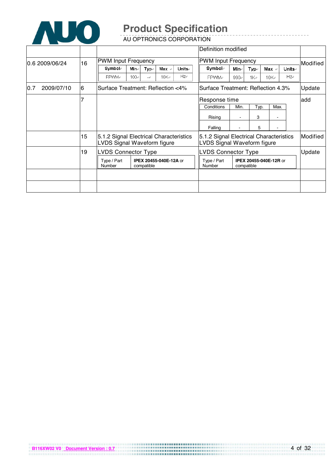

AU OPTRONICS CORPORATION

|                   |    |                                                                        |                                      |         |                   |        |  | Definition modified                                                    |        |            |                        |        |          |
|-------------------|----|------------------------------------------------------------------------|--------------------------------------|---------|-------------------|--------|--|------------------------------------------------------------------------|--------|------------|------------------------|--------|----------|
| l0.6 2009/06/24   | 16 | <b>PWM Input Frequency</b>                                             |                                      |         |                   |        |  | <b>PWM Input Frequency</b>                                             |        |            |                        |        | Modified |
|                   |    | Symbole                                                                | Mine                                 | Type    | Max $\rightarrow$ | Units∉ |  | Symbol∉                                                                | Min    | Typ∉       | Max $\neq$             | Units∉ |          |
|                   |    | FPWMe                                                                  | 100e                                 | $-\phi$ | $10K$ e           | Hz     |  | FPWMe                                                                  | 990e   | 1Ke i      | 10Ke                   | Hze    |          |
| 2009/07/10<br>0.7 | 6  |                                                                        | Surface Treatment: Reflection <4%    |         |                   |        |  | Surface Treatment: Reflection 4.3%                                     | Update |            |                        |        |          |
|                   |    |                                                                        |                                      |         |                   |        |  | Response time                                                          | add    |            |                        |        |          |
|                   |    |                                                                        |                                      |         |                   |        |  | Conditions                                                             | Min.   | Typ.       |                        | Max.   |          |
|                   |    |                                                                        |                                      |         |                   |        |  | Rising                                                                 |        | 3          |                        |        |          |
|                   |    |                                                                        |                                      |         |                   |        |  | Falling                                                                |        | 5          |                        |        |          |
|                   | 15 | 5.1.2 Signal Electrical Characteristics<br>LVDS Signal Waveform figure |                                      |         |                   |        |  | 5.1.2 Signal Electrical Characteristics<br>LVDS Signal Waveform figure |        |            |                        |        | Modified |
|                   | 19 | <b>LVDS Connector Type</b>                                             |                                      |         |                   |        |  | <b>LVDS Connector Type</b>                                             |        |            |                        |        | Update   |
|                   |    | Type / Part<br>Number                                                  | IPEX 20455-040E-12A or<br>compatible |         |                   |        |  | Type / Part<br>Number                                                  |        | compatible | IPEX 20455-040E-12R or |        |          |
|                   |    |                                                                        |                                      |         |                   |        |  |                                                                        |        |            |                        |        |          |
|                   |    |                                                                        |                                      |         |                   |        |  |                                                                        |        |            |                        |        |          |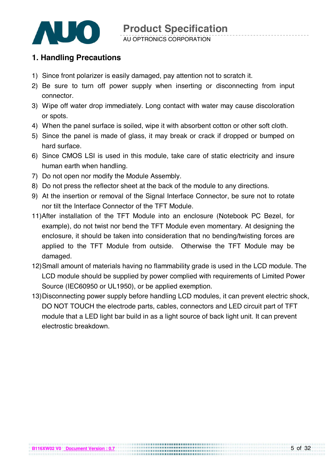

### **1. Handling Precautions**

- 1) Since front polarizer is easily damaged, pay attention not to scratch it.
- 2) Be sure to turn off power supply when inserting or disconnecting from input connector.
- 3) Wipe off water drop immediately. Long contact with water may cause discoloration or spots.
- 4) When the panel surface is soiled, wipe it with absorbent cotton or other soft cloth.
- 5) Since the panel is made of glass, it may break or crack if dropped or bumped on hard surface.
- 6) Since CMOS LSI is used in this module, take care of static electricity and insure human earth when handling.
- 7) Do not open nor modify the Module Assembly.
- 8) Do not press the reflector sheet at the back of the module to any directions.
- 9) At the insertion or removal of the Signal Interface Connector, be sure not to rotate nor tilt the Interface Connector of the TFT Module.
- 11)After installation of the TFT Module into an enclosure (Notebook PC Bezel, for example), do not twist nor bend the TFT Module even momentary. At designing the enclosure, it should be taken into consideration that no bending/twisting forces are applied to the TFT Module from outside. Otherwise the TFT Module may be damaged.
- 12) Small amount of materials having no flammability grade is used in the LCD module. The LCD module should be supplied by power complied with requirements of Limited Power Source (IEC60950 or UL1950), or be applied exemption.
- 13) Disconnecting power supply before handling LCD modules, it can prevent electric shock, DO NOT TOUCH the electrode parts, cables, connectors and LED circuit part of TFT module that a LED light bar build in as a light source of back light unit. It can prevent electrostic breakdown.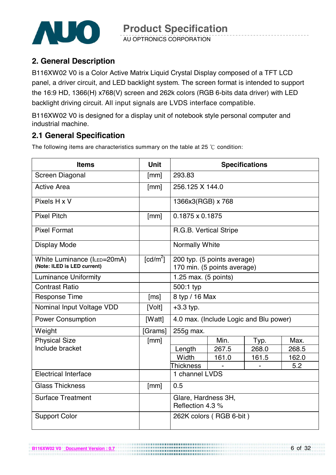

### **2. General Description**

B116XW02 V0 is a Color Active Matrix Liquid Crystal Display composed of a TFT LCD panel, a driver circuit, and LED backlight system. The screen format is intended to support the 16:9 HD, 1366(H) x768(V) screen and 262k colors (RGB 6-bits data driver) with LED backlight driving circuit. All input signals are LVDS interface compatible.

B116XW02 V0 is designed for a display unit of notebook style personal computer and industrial machine.

### **2.1 General Specification**

**B116XW02 V0 Document Version : 0.7**

The following items are characteristics summary on the table at 25  $\degree$ C condition:

| <b>Items</b>                                               | <b>Unit</b> |                                                            |                                        | <b>Specifications</b> |       |  |  |  |
|------------------------------------------------------------|-------------|------------------------------------------------------------|----------------------------------------|-----------------------|-------|--|--|--|
| Screen Diagonal                                            | [mm]        | 293.83                                                     |                                        |                       |       |  |  |  |
| <b>Active Area</b>                                         | [mm]        | 256.125 X 144.0                                            |                                        |                       |       |  |  |  |
| Pixels H x V                                               |             | 1366x3(RGB) x 768                                          |                                        |                       |       |  |  |  |
| <b>Pixel Pitch</b>                                         | [mm]        | $0.1875 \times 0.1875$                                     |                                        |                       |       |  |  |  |
| <b>Pixel Format</b>                                        |             | R.G.B. Vertical Stripe                                     |                                        |                       |       |  |  |  |
| <b>Display Mode</b>                                        |             | Normally White                                             |                                        |                       |       |  |  |  |
| White Luminance (ILED=20mA)<br>(Note: ILED is LED current) | [ $cd/m2$ ] | 200 typ. (5 points average)<br>170 min. (5 points average) |                                        |                       |       |  |  |  |
| <b>Luminance Uniformity</b>                                |             | 1.25 max. $(5$ points)                                     |                                        |                       |       |  |  |  |
| <b>Contrast Ratio</b>                                      |             | 500:1 typ                                                  |                                        |                       |       |  |  |  |
| <b>Response Time</b>                                       | [ms]        | 8 typ / 16 Max                                             |                                        |                       |       |  |  |  |
| Nominal Input Voltage VDD                                  | [Volt]      | $+3.3$ typ.                                                |                                        |                       |       |  |  |  |
| <b>Power Consumption</b>                                   | [Watt]      |                                                            | 4.0 max. (Include Logic and Blu power) |                       |       |  |  |  |
| Weight                                                     | [Grams]     | 255g max.                                                  |                                        |                       |       |  |  |  |
| <b>Physical Size</b>                                       | [mm]        |                                                            | Min.                                   | Typ.                  | Max.  |  |  |  |
| Include bracket                                            |             | Length                                                     | 267.5                                  | 268.0                 | 268.5 |  |  |  |
|                                                            |             | Width                                                      | 161.0                                  | 161.5                 | 162.0 |  |  |  |
|                                                            |             | <b>Thickness</b>                                           |                                        |                       | 5.2   |  |  |  |
| <b>Electrical Interface</b>                                |             | 1 channel LVDS                                             |                                        |                       |       |  |  |  |
| <b>Glass Thickness</b>                                     | [mm]        | 0.5                                                        |                                        |                       |       |  |  |  |
| <b>Surface Treatment</b>                                   |             | Glare, Hardness 3H,<br>Reflection 4.3 %                    |                                        |                       |       |  |  |  |
| <b>Support Color</b>                                       |             |                                                            | 262K colors (RGB 6-bit)                |                       |       |  |  |  |

..................................

6 of 32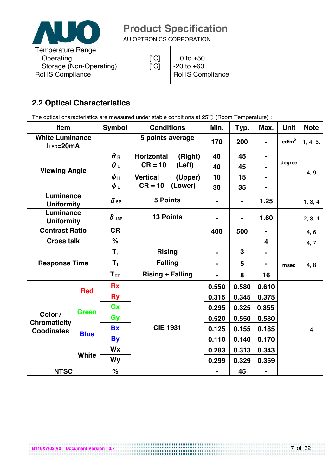

AU OPTRONICS CORPORATION

| Temperature Range       |                                         |                        |
|-------------------------|-----------------------------------------|------------------------|
| Operating               | $\mathop{\rm l{}}\nolimits^{\circ}$ Cl  | 0 to $+50$             |
| Storage (Non-Operating) | $\mathsf{I}^\circ\mathsf{C} \mathsf{I}$ | $-20$ to $+60$         |
| <b>RoHS Compliance</b>  |                                         | <b>RoHS Compliance</b> |

### **2.2 Optical Characteristics**

The optical characteristics are measured under stable conditions at 25°C (Room Temperature) :

| <b>Item</b>                         |              | <b>Symbol</b>           | <b>Conditions</b>            | Min.  | Typ.           | Max.                    | <b>Unit</b>     | <b>Note</b> |
|-------------------------------------|--------------|-------------------------|------------------------------|-------|----------------|-------------------------|-----------------|-------------|
| <b>White Luminance</b><br>ILED=20mA |              |                         | 5 points average             | 170   | 200            | $\blacksquare$          | $\text{cd/m}^2$ | 1, 4, 5.    |
|                                     |              | $\theta_{\rm R}$        | <b>Horizontal</b><br>(Right) | 40    | 45             |                         |                 |             |
| <b>Viewing Angle</b>                |              | $\theta_L$              | $CR = 10$<br>(Left)          | 40    | 45             |                         | degree          |             |
|                                     |              | $\phi$ н                | <b>Vertical</b><br>(Upper)   | 10    | 15             |                         |                 | 4, 9        |
|                                     |              | $\phi_L$                | $CR = 10$<br>(Lower)         | 30    | 35             |                         |                 |             |
| Luminance<br><b>Uniformity</b>      |              | $\delta$ 5P             | <b>5 Points</b>              |       | $\blacksquare$ | 1.25                    |                 | 1, 3, 4     |
| Luminance<br><b>Uniformity</b>      |              | $\delta$ 13P            | <b>13 Points</b>             |       | $\blacksquare$ | 1.60                    |                 | 2, 3, 4     |
| <b>Contrast Ratio</b>               |              | <b>CR</b>               |                              | 400   | 500            | $\blacksquare$          |                 | 4, 6        |
| <b>Cross talk</b>                   |              | $\%$                    |                              |       |                | $\overline{\mathbf{4}}$ |                 | 4, 7        |
|                                     |              | $T_{r}$                 | <b>Rising</b>                | ÷.    | 3              | $\blacksquare$          |                 |             |
| <b>Response Time</b>                |              | $\mathsf{T}_\mathsf{f}$ | <b>Falling</b>               |       | 5              |                         | msec            | 4, 8        |
|                                     |              | $T_{\rm RT}$            | <b>Rising + Falling</b>      | -     | 8              | 16                      |                 |             |
|                                     | <b>Red</b>   | <b>Rx</b>               |                              | 0.550 | 0.580          | 0.610                   |                 |             |
|                                     |              | <b>Ry</b>               |                              | 0.315 | 0.345          | 0.375                   |                 |             |
|                                     | <b>Green</b> | Gx                      |                              | 0.295 | 0.325          | 0.355                   |                 |             |
| Color /<br><b>Chromaticity</b>      |              | Gy                      |                              | 0.520 | 0.550          | 0.580                   |                 |             |
| <b>Coodinates</b>                   | <b>Blue</b>  | <b>Bx</b>               | <b>CIE 1931</b>              | 0.125 | 0.155          | 0.185                   |                 | 4           |
|                                     |              | <b>By</b>               |                              | 0.110 | 0.140          | 0.170                   |                 |             |
|                                     |              | Wx                      |                              | 0.283 | 0.313          | 0.343                   |                 |             |
|                                     | <b>White</b> | Wy                      |                              | 0.299 | 0.329          | 0.359                   |                 |             |
| <b>NTSC</b>                         |              | %                       |                              |       | 45             | $\blacksquare$          |                 |             |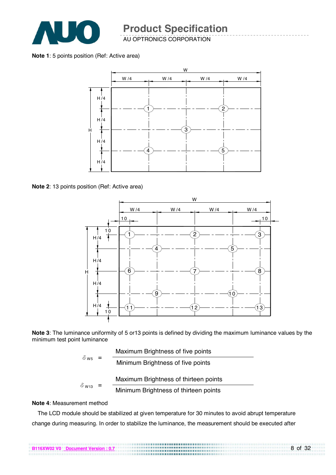

#### **Note 1**: 5 points position (Ref: Active area)



**Note 2**: 13 points position (Ref: Active area)



**Note 3**: The luminance uniformity of 5 or13 points is defined by dividing the maximum luminance values by the minimum test point luminance

| $\delta$ w <sub>5</sub>  | Maximum Brightness of five points     |
|--------------------------|---------------------------------------|
|                          | Minimum Brightness of five points     |
| $\delta$ W <sub>13</sub> | Maximum Brightness of thirteen points |
|                          | Minimum Brightness of thirteen points |

#### **Note 4**: Measurement method

The LCD module should be stabilized at given temperature for 30 minutes to avoid abrupt temperature change during measuring. In order to stabilize the luminance, the measurement should be executed after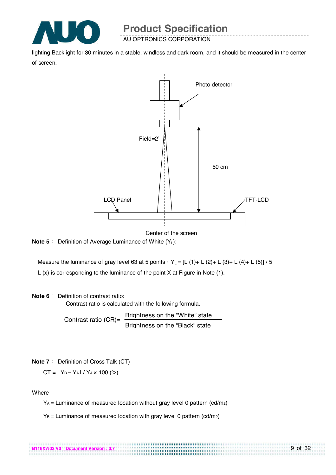

lighting Backlight for 30 minutes in a stable, windless and dark room, and it should be measured in the center of screen.



Center of the screen

..................................

**Note 5** : Definition of Average Luminance of White (Y<sub>L</sub>):

Measure the luminance of gray level 63 at 5 points  $Y_L = [L (1) + L (2) + L (3) + L (4) + L (5)] / 5$ L (x) is corresponding to the luminance of the point X at Figure in Note (1).

#### **Note 6** : Definition of contrast ratio:

Contrast ratio is calculated with the following formula.

Contrast ratio  $(CR)$ = Brightness on the "White" state Brightness on the "Black" state

**Note 7** : Definition of Cross Talk (CT)

$$
CT = 1 Y_B - Y_A 1 / Y_A \times 100
$$
 (%)

#### **Where**

YA = Luminance of measured location without gray level 0 pattern (cd/m2)

 $Y_B$  = Luminance of measured location with gray level 0 pattern (cd/m<sub>2</sub>)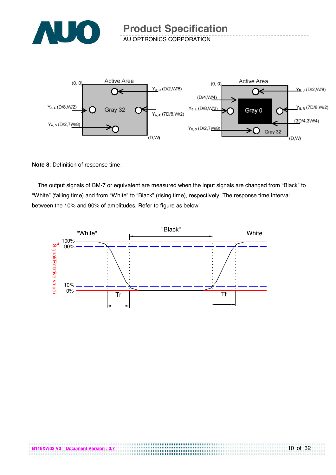



**Note 8**: Definition of response time:

The output signals of BM-7 or equivalent are measured when the input signals are changed from "Black" to "White" (falling time) and from "White" to "Black" (rising time), respectively. The response time interval between the 10% and 90% of amplitudes. Refer to figure as below.

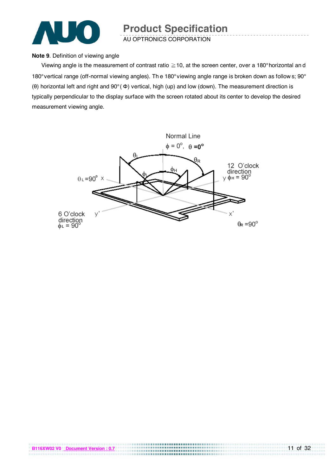

#### **Note 9**. Definition of viewing angle

Viewing angle is the measurement of contrast ratio  $\geq$  10, at the screen center, over a 180° horizontal an d 180° vertical range (off-normal viewing angles). Th e 180° viewing angle range is broken down as follow s; 90° (θ) horizontal left and right and 90° ( Φ) vertical, high (up) and low (down). The measurement direction is typically perpendicular to the display surface with the screen rotated about its center to develop the desired measurement viewing angle.

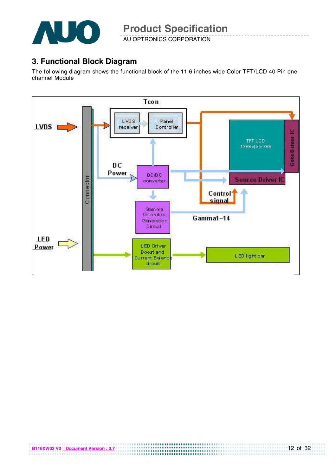

### **3. Functional Block Diagram**

The following diagram shows the functional block of the 11.6 inches wide Color TFT/LCD 40 Pin one channel Module

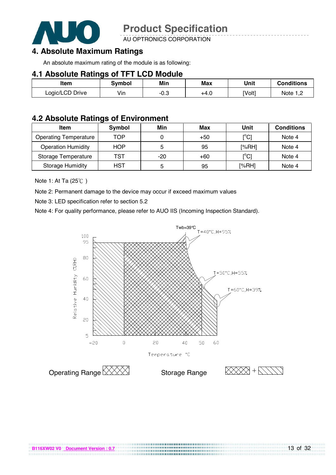

AU OPTRONICS CORPORATION

### **4. Absolute Maximum Ratings**

An absolute maximum rating of the module is as following:

#### **4.1 Absolute Ratings of TFT LCD Module**

| Item            | Svmbol | Min  | Max  | Unit   | <b>Conditions</b>    |
|-----------------|--------|------|------|--------|----------------------|
| Logic/LCD Drive | Vin    | -∪.ఎ | +4.0 | [Volt] | Note 1. <sup>r</sup> |

#### **4.2 Absolute Ratings of Environment**

| <b>Item</b>                  | Symbol     | Min   | Max   | Unit                                    | <b>Conditions</b> |
|------------------------------|------------|-------|-------|-----------------------------------------|-------------------|
| <b>Operating Temperature</b> | TOP        |       | $+50$ | $\mathsf{I}^\circ\mathsf{C} \mathsf{I}$ | Note 4            |
| <b>Operation Humidity</b>    | <b>HOP</b> | ь     | 95    | [%RH]                                   | Note 4            |
| Storage Temperature          | TST        | $-20$ | $+60$ | $\mathsf{I}^\circ\mathsf{C} \mathsf{I}$ | Note 4            |
| <b>Storage Humidity</b>      | HST        | ь     | 95    | [%RH]                                   | Note 4            |

Note 1: At Ta  $(25^{\circ}$ C)

Note 2: Permanent damage to the device may occur if exceed maximum values

Note 3: LED specification refer to section 5.2

Note 4: For quality performance, please refer to AUO IIS (Incoming Inspection Standard).



..............................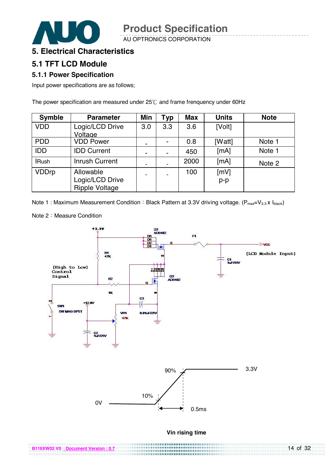AU OPTRONICS CORPORATION



### **5. Electrical Characteristics**

#### **5.1 TFT LCD Module**

#### **5.1.1 Power Specification**

Input power specifications are as follows;

The power specification are measured under  $25^{\circ}$ C and frame frenquency under 60Hz

| <b>Symble</b> | <b>Parameter</b>      | Min | <b>Typ</b> | <b>Max</b> | <b>Units</b> | <b>Note</b> |
|---------------|-----------------------|-----|------------|------------|--------------|-------------|
| <b>VDD</b>    | Logic/LCD Drive       | 3.0 | 3.3        | 3.6        | [Volt]       |             |
|               | Voltage               |     |            |            |              |             |
| <b>PDD</b>    | <b>VDD Power</b>      | ۰   |            | 0.8        | [Watt]       | Note 1      |
| <b>IDD</b>    | <b>IDD Current</b>    | ٠   | -          | 450        | [MA]         | Note 1      |
| <b>IRush</b>  | <b>Inrush Current</b> | ٠   |            | 2000       | [MA]         | Note 2      |
| <b>VDDrp</b>  | Allowable             |     |            | 100        | [mV]         |             |
|               | Logic/LCD Drive       |     |            |            | $p-p$        |             |
|               | <b>Ripple Voltage</b> |     |            |            |              |             |

Note 1 : Maximum Measurement Condition : Black Pattern at 3.3V driving voltage. ( $P_{max}=V_{3.3}$  x  $I_{black}$ )

Note 2: Measure Condition

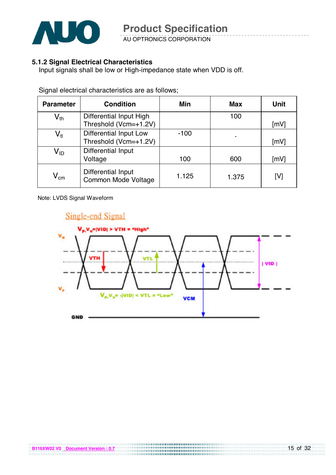

AU OPTRONICS CORPORATION

#### **5.1.2 Signal Electrical Characteristics**

Input signals shall be low or High-impedance state when VDD is off.

| <b>Parameter</b>           | <b>Condition</b>                                       | Min    | <b>Max</b> | <b>Unit</b> |
|----------------------------|--------------------------------------------------------|--------|------------|-------------|
| $\mathsf{V}_{\mathsf{th}}$ | Differential Input High<br>Threshold (Vcm=+1.2V)       |        | 100        | [mV]        |
| $\mathsf{V}_{\mathsf{tl}}$ | <b>Differential Input Low</b><br>Threshold (Vcm=+1.2V) | $-100$ |            | [mV]        |
| $\mathsf{V}_{\mathsf{ID}}$ | Differential Input<br>Voltage                          | 100    | 600        | [mV]        |
| $\mathsf{V}_{\mathsf{cm}}$ | Differential Input<br>Common Mode Voltage              | 1.125  | 1.375      | [V]         |

Signal electrical characteristics are as follows;

Note: LVDS Signal Waveform



,,,,,,,,,,,,,,,,,,,,,,,,,,,,,,,,,,,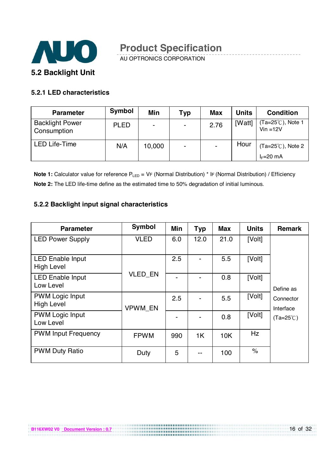

AU OPTRONICS CORPORATION

#### **5.2.1 LED characteristics**

| <b>Parameter</b>                      | Symbol      | <b>Min</b>     | Typ                      | <b>Max</b> | <b>Units</b> | <b>Condition</b>                |
|---------------------------------------|-------------|----------------|--------------------------|------------|--------------|---------------------------------|
| <b>Backlight Power</b><br>Consumption | <b>PLED</b> | $\blacksquare$ | $\overline{\phantom{0}}$ | 2.76       | [Watt]       | (Ta=25℃), Note 1<br>$Vin = 12V$ |
| <b>LED Life-Time</b>                  | N/A         | 10,000         | ۰                        |            | Hour         | $(Ta=25^{\circ}C)$ , Note 2     |
|                                       |             |                |                          |            |              | $I_F=20$ mA                     |

**Note 1:** Calculator value for reference P<sub>LED</sub> = VF (Normal Distribution) \* IF (Normal Distribution) / Efficiency **Note 2:** The LED life-time define as the estimated time to 50% degradation of initial luminous.

#### **5.2.2 Backlight input signal characteristics**

**B116XW02 V0 Document Version : 0.7 DITOAWUZ VU <u>DOCUMENT VEISION 7 0.7</u>**<br>ADITOAWUZ VU <u>DOCUMENT VEISION 7 0.7</u>

| <b>Parameter</b>                             | <b>Symbol</b>  | Min | <b>Typ</b>     | <b>Max</b> | <b>Units</b> | <b>Remark</b>          |
|----------------------------------------------|----------------|-----|----------------|------------|--------------|------------------------|
| <b>LED Power Supply</b>                      | <b>VLED</b>    | 6.0 | 12.0           | 21.0       | [Volt]       |                        |
| <b>LED Enable Input</b><br><b>High Level</b> |                | 2.5 |                | 5.5        | [Volt]       |                        |
| <b>LED Enable Input</b><br>Low Level         | <b>VLED EN</b> |     |                | 0.8        | [Volt]       | Define as              |
| <b>PWM Logic Input</b><br><b>High Level</b>  | VPWM_EN        | 2.5 |                | 5.5        | [Volt]       | Connector<br>Interface |
| <b>PWM Logic Input</b><br>Low Level          |                |     |                | 0.8        | [Volt]       | $(Ta=25^{\circ}C)$     |
| <b>PWM Input Frequency</b>                   | <b>FPWM</b>    | 990 | 1 <sup>K</sup> | 10K        | Hz           |                        |
| <b>PWM Duty Ratio</b>                        | Duty           | 5   |                | 100        | $\%$         |                        |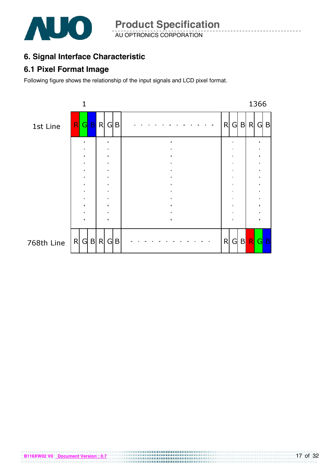

AU OPTRONICS CORPORATION **Product Specification** 

# **6. Signal Interface Characteristic**

### **6.1 Pixel Format Image**

**B116XW02 V0 Document Version : 0.7**

Following figure shows the relationship of the input signals and LCD pixel format.

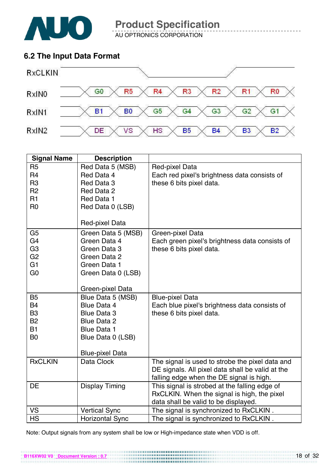

AU OPTRONICS CORPORATION

### **6.2 The Input Data Format**



| <b>Signal Name</b> | <b>Description</b>     |                                                  |  |
|--------------------|------------------------|--------------------------------------------------|--|
| R <sub>5</sub>     | Red Data 5 (MSB)       | Red-pixel Data                                   |  |
| R <sub>4</sub>     | Red Data 4             | Each red pixel's brightness data consists of     |  |
| R <sub>3</sub>     | Red Data 3             | these 6 bits pixel data.                         |  |
| R <sub>2</sub>     | Red Data 2             |                                                  |  |
| R1                 | Red Data 1             |                                                  |  |
| R <sub>0</sub>     | Red Data 0 (LSB)       |                                                  |  |
|                    |                        |                                                  |  |
|                    | Red-pixel Data         |                                                  |  |
| G <sub>5</sub>     | Green Data 5 (MSB)     | Green-pixel Data                                 |  |
| G <sub>4</sub>     | Green Data 4           | Each green pixel's brightness data consists of   |  |
| G <sub>3</sub>     | Green Data 3           | these 6 bits pixel data.                         |  |
| G <sub>2</sub>     | Green Data 2           |                                                  |  |
| G <sub>1</sub>     | Green Data 1           |                                                  |  |
| G <sub>0</sub>     | Green Data 0 (LSB)     |                                                  |  |
|                    | Green-pixel Data       |                                                  |  |
| <b>B5</b>          | Blue Data 5 (MSB)      | <b>Blue-pixel Data</b>                           |  |
| <b>B4</b>          | Blue Data 4            | Each blue pixel's brightness data consists of    |  |
| B <sub>3</sub>     | <b>Blue Data 3</b>     | these 6 bits pixel data.                         |  |
| <b>B2</b>          | Blue Data 2            |                                                  |  |
| <b>B1</b>          | <b>Blue Data 1</b>     |                                                  |  |
| B <sub>0</sub>     | Blue Data 0 (LSB)      |                                                  |  |
|                    |                        |                                                  |  |
|                    | <b>Blue-pixel Data</b> |                                                  |  |
| <b>RxCLKIN</b>     | Data Clock             | The signal is used to strobe the pixel data and  |  |
|                    |                        | DE signals. All pixel data shall be valid at the |  |
|                    |                        | falling edge when the DE signal is high.         |  |
| DE                 | <b>Display Timing</b>  | This signal is strobed at the falling edge of    |  |
|                    |                        | RxCLKIN. When the signal is high, the pixel      |  |
|                    |                        | data shall be valid to be displayed.             |  |
| VS                 | <b>Vertical Sync</b>   | The signal is synchronized to RxCLKIN.           |  |
| <b>HS</b>          | <b>Horizontal Sync</b> | The signal is synchronized to RxCLKIN.           |  |

Note: Output signals from any system shall be low or High-impedance state when VDD is off.

**B116XW02 V0 Document Version : 0.7**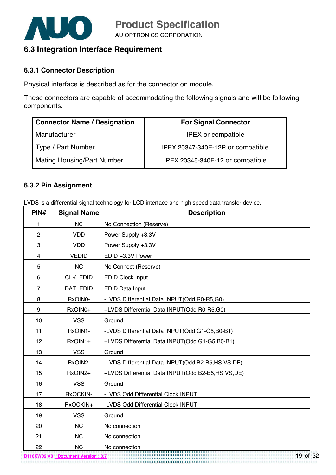

### **6.3 Integration Interface Requirement**

#### **6.3.1 Connector Description**

Physical interface is described as for the connector on module.

These connectors are capable of accommodating the following signals and will be following components.

| <b>Connector Name / Designation</b> | <b>For Signal Connector</b>       |
|-------------------------------------|-----------------------------------|
| Manufacturer                        | <b>IPEX</b> or compatible         |
| Type / Part Number                  | IPEX 20347-340E-12R or compatible |
| <b>Mating Housing/Part Number</b>   | IPEX 20345-340E-12 or compatible  |

#### **6.3.2 Pin Assignment**

LVDS is a differential signal technology for LCD interface and high speed data transfer device.

| PIN#           | <b>Signal Name</b> | <b>Description</b>                                   |
|----------------|--------------------|------------------------------------------------------|
| 1              | <b>NC</b>          | No Connection (Reserve)                              |
| $\overline{c}$ | <b>VDD</b>         | Power Supply +3.3V                                   |
| 3              | <b>VDD</b>         | Power Supply +3.3V                                   |
| 4              | <b>VEDID</b>       | EDID +3.3V Power                                     |
| 5              | <b>NC</b>          | No Connect (Reserve)                                 |
| 6              | CLK_EDID           | <b>EDID Clock Input</b>                              |
| $\overline{7}$ | DAT_EDID           | <b>EDID Data Input</b>                               |
| 8              | RxOIN0-            | -LVDS Differential Data INPUT(Odd R0-R5,G0)          |
| 9              | RxOIN0+            | +LVDS Differential Data INPUT(Odd R0-R5,G0)          |
| 10             | <b>VSS</b>         | Ground                                               |
| 11             | RxOIN1-            | -LVDS Differential Data INPUT(Odd G1-G5,B0-B1)       |
| 12             | RxOIN1+            | +LVDS Differential Data INPUT(Odd G1-G5,B0-B1)       |
| 13             | <b>VSS</b>         | Ground                                               |
| 14             | RxOIN2-            | -LVDS Differential Data INPUT(Odd B2-B5, HS, VS, DE) |
| 15             | RxOIN2+            | +LVDS Differential Data INPUT(Odd B2-B5,HS,VS,DE)    |
| 16             | <b>VSS</b>         | Ground                                               |
| 17             | RxOCKIN-           | -LVDS Odd Differential Clock INPUT                   |
| 18             | RxOCKIN+           | <b>LVDS Odd Differential Clock INPUT</b>             |
| 19             | <b>VSS</b>         | Ground                                               |
| 20             | <b>NC</b>          | No connection                                        |
| 21             | <b>NC</b>          | No connection                                        |
| 22             | <b>NC</b>          | No connection                                        |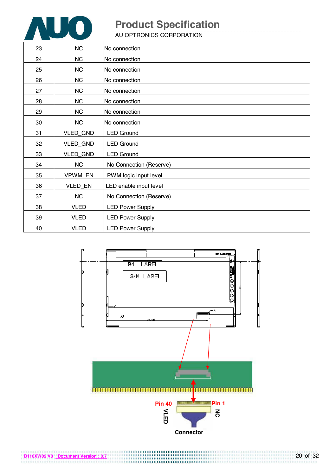

**B116XW02 V0 Document Version : 0.7**

# **Product Specification**

AU OPTRONICS CORPORATION

| 23 | <b>NC</b>   | No connection           |
|----|-------------|-------------------------|
| 24 | <b>NC</b>   | No connection           |
| 25 | <b>NC</b>   | No connection           |
| 26 | <b>NC</b>   | No connection           |
| 27 | <b>NC</b>   | No connection           |
| 28 | NC          | No connection           |
| 29 | NC          | No connection           |
| 30 | <b>NC</b>   | No connection           |
| 31 | VLED_GND    | <b>LED Ground</b>       |
| 32 | VLED_GND    | <b>LED Ground</b>       |
| 33 | VLED_GND    | <b>LED Ground</b>       |
| 34 | NC          | No Connection (Reserve) |
| 35 | VPWM_EN     | PWM logic input level   |
| 36 | VLED_EN     | LED enable input level  |
| 37 | <b>NC</b>   | No Connection (Reserve) |
| 38 | <b>VLED</b> | <b>LED Power Supply</b> |
| 39 | <b>VLED</b> | <b>LED Power Supply</b> |
| 40 | <b>VLED</b> | <b>LED Power Supply</b> |

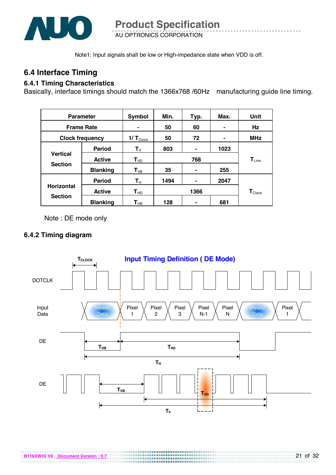

Note1: Input signals shall be low or High-impedance state when VDD is off.

### **6.4 Interface Timing**

#### **6.4.1 Timing Characteristics**

Basically, interface timings should match the 1366x768 /60Hz manufacturing guide line timing.

| <b>Parameter</b>                   |                 | <b>Symbol</b>              | Min. | Typ.           | Max. | Unit                         |
|------------------------------------|-----------------|----------------------------|------|----------------|------|------------------------------|
| <b>Frame Rate</b>                  |                 |                            | 50   | 60             |      | Hz                           |
| <b>Clock frequency</b>             |                 | $1/T_{\text{Clock}}$       | 50   | 72             |      | <b>MHz</b>                   |
|                                    | <b>Period</b>   | ${\bf T}_{\rm V}$          | 803  | $\blacksquare$ | 1023 |                              |
| <b>Vertical</b><br><b>Active</b>   |                 | $T_{VD}$                   | 768  |                |      | $\mathbf{T}_{\mathsf{Line}}$ |
| <b>Section</b>                     | <b>Blanking</b> | $T_{VB}$                   | 35   | $\blacksquare$ | 255  |                              |
|                                    | <b>Period</b>   | $\mathbf{T}_{\mathsf{H}}$  | 1494 | $\blacksquare$ | 2047 |                              |
| <b>Horizontal</b><br><b>Active</b> |                 | $\mathbf{T}_{\sf HD}$      |      | 1366           |      | $\mathbf{T}_{\text{Clock}}$  |
| <b>Section</b>                     | <b>Blanking</b> | $\mathbf{T}_{\mathsf{HB}}$ | 128  |                | 681  |                              |

Note : DE mode only

#### **6.4.2 Timing diagram**

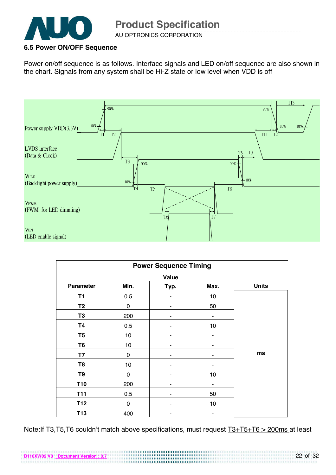

#### **6.5 Power ON/OFF Sequence**

**B116XW02 V0 Document Version : 0.7**

Power on/off sequence is as follows. Interface signals and LED on/off sequence are also shown in the chart. Signals from any system shall be Hi-Z state or low level when VDD is off



|                  | <b>Power Sequence Timing</b> |      |      |              |  |  |  |
|------------------|------------------------------|------|------|--------------|--|--|--|
|                  | <b>Value</b>                 |      |      |              |  |  |  |
| <b>Parameter</b> | Min.                         | Typ. | Max. | <b>Units</b> |  |  |  |
| T <sub>1</sub>   | 0.5                          |      | 10   |              |  |  |  |
| T <sub>2</sub>   | $\mathbf 0$                  |      | 50   |              |  |  |  |
| T <sub>3</sub>   | 200                          |      |      |              |  |  |  |
| <b>T4</b>        | 0.5                          |      | 10   |              |  |  |  |
| T <sub>5</sub>   | 10                           |      |      |              |  |  |  |
| T <sub>6</sub>   | 10                           |      |      |              |  |  |  |
| <b>T7</b>        | $\mathbf 0$                  |      |      | ms           |  |  |  |
| T <sub>8</sub>   | 10                           |      |      |              |  |  |  |
| T9               | 0                            | ۰    | 10   |              |  |  |  |
| T <sub>10</sub>  | 200                          |      |      |              |  |  |  |
| <b>T11</b>       | 0.5                          |      | 50   |              |  |  |  |
| T <sub>12</sub>  | $\mathbf 0$                  |      | 10   |              |  |  |  |
| T <sub>13</sub>  | 400                          |      |      |              |  |  |  |

Note:If T3,T5,T6 couldn't match above specifications, must request T3+T5+T6 > 200ms at least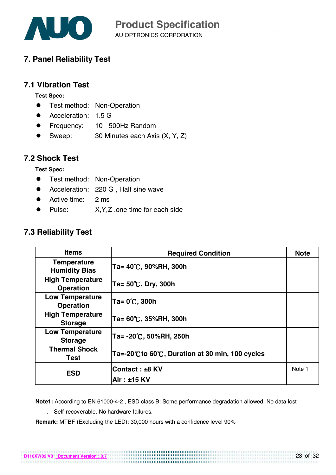

# **7. Panel Reliability Test**

#### **7.1 Vibration Test**

**Test Spec:** 

- **•** Test method: Non-Operation
- Acceleration: 1.5 G
- Frequency: 10 500Hz Random
- Sweep: 30 Minutes each Axis (X, Y, Z)

#### **7.2 Shock Test**

**Test Spec:** 

- **•** Test method: Non-Operation
- **•** Acceleration: 220 G, Half sine wave
- Active time: 2 ms
- Pulse: X, Y, Z .one time for each side

### **7.3 Reliability Test**

| <b>Items</b>                                | <b>Required Condition</b>                      | <b>Note</b> |
|---------------------------------------------|------------------------------------------------|-------------|
| <b>Temperature</b><br><b>Humidity Bias</b>  | Ta= 40℃, 90%RH, 300h                           |             |
| <b>High Temperature</b><br><b>Operation</b> | $Ta = 50^{\circ}C$ , Dry, 300h                 |             |
| <b>Low Temperature</b><br><b>Operation</b>  | $Ta = 0^{\circ}C$ , 300h                       |             |
| <b>High Temperature</b><br><b>Storage</b>   | Ta= 60℃, 35%RH, 300h                           |             |
| <b>Low Temperature</b><br><b>Storage</b>    | Ta=-20℃, 50%RH, 250h                           |             |
| <b>Thermal Shock</b><br>Test                | Ta=-20℃ to 60℃, Duration at 30 min, 100 cycles |             |
| <b>ESD</b>                                  | Contact: ±8 KV                                 | Note 1      |
|                                             | Air: ±15 KV                                    |             |

**Note1:** According to EN 61000-4-2 , ESD class B: Some performance degradation allowed. No data lost

. Self-recoverable. No hardware failures.

**B116XW02 V0 Document Version : 0.7**

**Remark:** MTBF (Excluding the LED): 30,000 hours with a confidence level 90%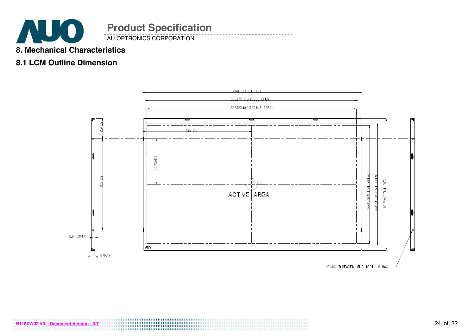

AU OPTRONICS CORPORATION

# **8. Mechanical Characteristics**

### **8.1 LCM Outline Dimension**



**B116XW02 V0 Document Version : 0.7**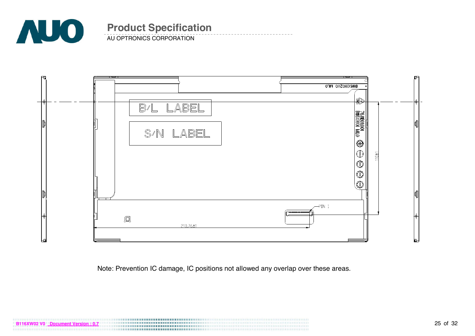

AU OPTRONICS CORPORATION



Note: Prevention IC damage, IC positions not allowed any overlap over these areas.

**B116XW02 V0 Document Version : 0.7**  $\begin{bmatrix} \textbf{1} & \textbf{1} & \textbf{1} & \textbf{1} & \textbf{1} & \textbf{1} & \textbf{1} & \textbf{1} & \textbf{1} & \textbf{1} & \textbf{1} & \textbf{1} & \textbf{1} & \textbf{1} & \textbf{1} & \textbf{1} & \textbf{1} & \textbf{1} & \textbf{1} & \textbf{1} & \textbf{1} & \textbf{1} & \textbf{1} & \textbf{1} & \textbf{1} & \textbf{1} & \textbf{1} & \textbf{1} & \textbf{1} & \textbf{1} & \textbf{$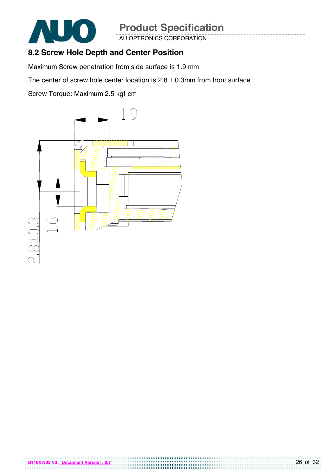

AU OPTRONICS CORPORATION

### **8.2 Screw Hole Depth and Center Position**

Maximum Screw penetration from side surface is 1.9 mm

The center of screw hole center location is  $2.8 \pm 0.3$ mm from front surface

Screw Torque: Maximum 2.5 kgf-cm

**B116XW02 V0 Document Version : 0.7**

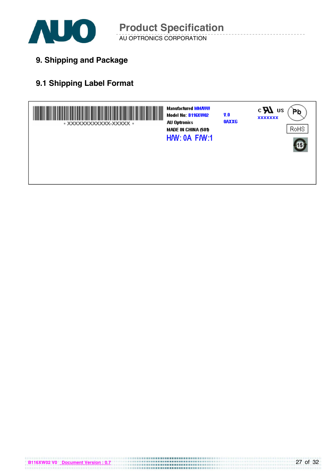

**9. Shipping and Package**

# **9.1 Shipping Label Format**

**B116XW02 V0 Document Version : 0.7**



27 of 32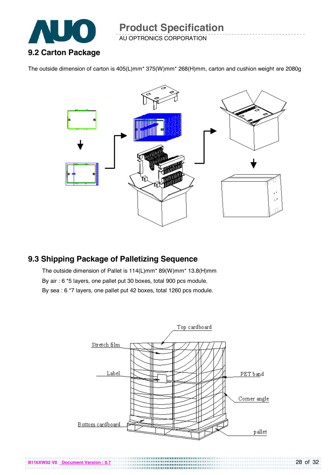

The outside dimension of carton is 405(L)mm\* 375(W)mm\* 268(H)mm, carton and cushion weight are 2080g



#### **9.3 Shipping Package of Palletizing Sequence**

**B116XW02 V0 Document Version : 0.7**

The outside dimension of Pallet is 114(L)mm\* 89(W)mm\* 13.8(H)mm By air : 6 \*5 layers, one pallet put 30 boxes, total 900 pcs module. By sea : 6 \*7 layers, one pallet put 42 boxes, total 1260 pcs module.

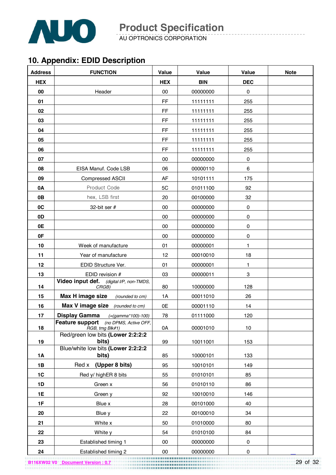

AU OPTRONICS CORPORATION

# **10. Appendix: EDID Description**

| <b>Address</b> | <b>FUNCTION</b>                                          | Value      | Value      | Value       | <b>Note</b> |
|----------------|----------------------------------------------------------|------------|------------|-------------|-------------|
| <b>HEX</b>     |                                                          | <b>HEX</b> | <b>BIN</b> | <b>DEC</b>  |             |
| 00             | Header                                                   | 00         | 00000000   | 0           |             |
| 01             |                                                          | FF.        | 11111111   | 255         |             |
| 02             |                                                          | FF         | 11111111   | 255         |             |
| 03             |                                                          | FF         | 11111111   | 255         |             |
| 04             |                                                          | FF.        | 11111111   | 255         |             |
| 05             |                                                          | <b>FF</b>  | 11111111   | 255         |             |
| 06             |                                                          | FF.        | 11111111   | 255         |             |
| 07             |                                                          | 00         | 00000000   | $\mathbf 0$ |             |
| 08             | EISA Manuf. Code LSB                                     | 06         | 00000110   | 6           |             |
| 09             | <b>Compressed ASCII</b>                                  | AF         | 10101111   | 175         |             |
| 0A             | Product Code                                             | 5C         | 01011100   | 92          |             |
| 0B             | hex, LSB first                                           | 20         | 00100000   | 32          |             |
| 0C             | 32-bit ser #                                             | 00         | 00000000   | $\pmb{0}$   |             |
| 0 <sub>D</sub> |                                                          | 00         | 00000000   | $\pmb{0}$   |             |
| 0E             |                                                          | 00         | 00000000   | $\pmb{0}$   |             |
| 0F             |                                                          | 00         | 00000000   | $\pmb{0}$   |             |
| 10             | Week of manufacture                                      | 01         | 00000001   | 1           |             |
| 11             | Year of manufacture                                      | 12         | 00010010   | 18          |             |
| 12             | EDID Structure Ver.                                      | 01         | 00000001   | 1           |             |
| 13             | EDID revision #                                          | 03         | 00000011   | 3           |             |
| 14             | Video input def. (digital I/P, non-TMDS,<br>CRGB)        | 80         | 10000000   | 128         |             |
| 15             | Max H image size<br>(rounded to cm)                      | 1A         | 00011010   | 26          |             |
| 16             | Max V image size<br>(rounded to cm)                      | 0E         | 00001110   | 14          |             |
| 17             | <b>Display Gamma</b><br>$( = (gamma * 100) - 100)$       | 78         | 01111000   | 120         |             |
| 18             | Feature support (no DPMS, Active OFF,<br>RGB, tmg Blk#1) | 0A         | 00001010   | 10          |             |
| 19             | Red/green low bits (Lower 2:2:2:2<br>bits)               | 99         | 10011001   | 153         |             |
| 1A             | Blue/white low bits (Lower 2:2:2:2<br>bits)              | 85         | 10000101   | 133         |             |
| 1B             | Red x (Upper 8 bits)                                     | 95         | 10010101   | 149         |             |
| 1C             | Red y/ highER 8 bits                                     | 55         | 01010101   | 85          |             |
| 1D             | Green x                                                  | 56         | 01010110   | 86          |             |
| 1E             | Green y                                                  | 92         | 10010010   | 146         |             |
| 1F             | Blue x                                                   | 28         | 00101000   | 40          |             |
| 20             | Blue y                                                   | 22         | 00100010   | 34          |             |
| 21             | White x                                                  | 50         | 01010000   | 80          |             |
| 22             | White y                                                  | 54         | 01010100   | 84          |             |
| 23             | Established timing 1                                     | 00         | 00000000   | $\pmb{0}$   |             |
| 24             | Established timing 2                                     | $00\,$     | 00000000   | 0           |             |

**B116XW02 V0 Document Version : 0.7**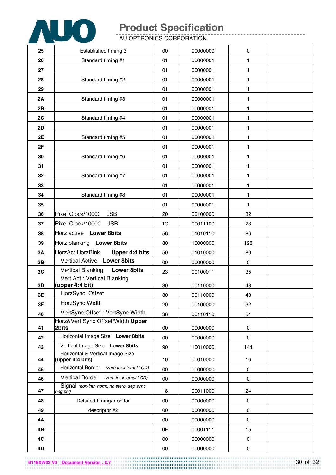

AU OPTRONICS CORPORATION

| 25        | Established timing 3                                                | 00 | 00000000 | 0         |  |
|-----------|---------------------------------------------------------------------|----|----------|-----------|--|
| 26        | Standard timing #1                                                  | 01 | 00000001 | 1         |  |
| 27        |                                                                     | 01 | 00000001 | 1         |  |
| 28        | Standard timing #2                                                  | 01 | 00000001 | 1         |  |
| 29        |                                                                     | 01 | 00000001 | 1         |  |
| 2A        | Standard timing #3                                                  | 01 | 00000001 | 1         |  |
| 2B        |                                                                     | 01 | 00000001 | 1         |  |
| 2C        | Standard timing #4                                                  | 01 | 00000001 | 1         |  |
| 2D        |                                                                     | 01 | 00000001 | 1         |  |
| 2E        | Standard timing #5                                                  | 01 | 00000001 | 1         |  |
| 2F        |                                                                     | 01 | 00000001 | 1         |  |
| 30        | Standard timing #6                                                  | 01 | 00000001 | 1         |  |
| 31        |                                                                     | 01 | 00000001 | 1         |  |
| 32        | Standard timing #7                                                  | 01 | 00000001 | 1         |  |
| 33        |                                                                     | 01 | 00000001 | 1         |  |
| 34        | Standard timing #8                                                  | 01 | 00000001 | 1         |  |
| 35        |                                                                     | 01 | 00000001 | 1         |  |
| 36        | Pixel Clock/10000<br><b>LSB</b>                                     | 20 | 00100000 | 32        |  |
| 37        | <b>USB</b><br>Pixel Clock/10000                                     | 1C | 00011100 | 28        |  |
| 38        | Horz active Lower 8bits                                             | 56 | 01010110 | 86        |  |
| 39        | Horz blanking<br><b>Lower 8bits</b>                                 | 80 | 10000000 | 128       |  |
| <b>3A</b> | HorzAct:HorzBlnk<br>Upper 4:4 bits                                  | 50 | 01010000 | 80        |  |
| 3B        | Vertical Active Lower 8bits                                         | 00 | 00000000 | 0         |  |
| 3C        | <b>Vertical Blanking</b><br><b>Lower 8bits</b>                      | 23 | 00100011 | 35        |  |
| 3D        | Vert Act: Vertical Blanking<br>(upper 4:4 bit)                      | 30 | 00110000 | 48        |  |
| 3E        | HorzSync. Offset                                                    | 30 | 00110000 | 48        |  |
| 3F        | HorzSync. Width                                                     | 20 | 00100000 | 32        |  |
| 40        | VertSync.Offset: VertSync.Width                                     | 36 | 00110110 | 54        |  |
|           | Horz‖ Sync Offset/Width Upper                                       |    |          |           |  |
| 41        | 2bits                                                               | 00 | 00000000 | 0         |  |
| 42        | Horizontal Image Size Lower 8bits                                   | 00 | 00000000 | $\pmb{0}$ |  |
| 43        | Vertical Image Size Lower 8bits<br>Horizontal & Vertical Image Size | 90 | 10010000 | 144       |  |
| 44        | (upper 4:4 bits)                                                    | 10 | 00010000 | 16        |  |
| 45        | Horizontal Border (zero for internal LCD)                           | 00 | 00000000 | 0         |  |
| 46        | <b>Vertical Border</b><br>(zero for internal LCD)                   | 00 | 00000000 | 0         |  |
| 47        | Signal (non-intr, norm, no stero, sep sync,<br>neg pol)             | 18 | 00011000 | 24        |  |
| 48        | Detailed timing/monitor                                             | 00 | 00000000 | $\pmb{0}$ |  |
| 49        | descriptor #2                                                       | 00 | 00000000 | $\pmb{0}$ |  |
| 4A        |                                                                     | 00 | 00000000 | 0         |  |
| 4B        |                                                                     | 0F | 00001111 | 15        |  |
| 4C        |                                                                     | 00 | 00000000 | 0         |  |
| 4D        |                                                                     | 00 | 00000000 | $\pmb{0}$ |  |

**B116XW02 V0 Document Version : 0.7**

30 of 32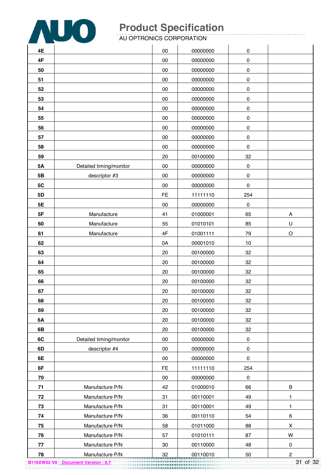

AU OPTRONICS CORPORATION

| 4E        |                         | 00        | 00000000 | 0         |                              |
|-----------|-------------------------|-----------|----------|-----------|------------------------------|
| 4F        |                         | 00        | 00000000 | $\pmb{0}$ |                              |
| 50        |                         | $00\,$    | 00000000 | $\pmb{0}$ |                              |
| 51        |                         | 00        | 00000000 | 0         |                              |
| 52        |                         | 00        | 00000000 | 0         |                              |
| 53        |                         | 00        | 00000000 | 0         |                              |
| 54        |                         | $00\,$    | 00000000 | 0         |                              |
| 55        |                         | 00        | 00000000 | 0         |                              |
| 56        |                         | 00        | 00000000 | 0         |                              |
| 57        |                         | 00        | 00000000 | $\pmb{0}$ |                              |
| 58        |                         | 00        | 00000000 | 0         |                              |
| 59        |                         | 20        | 00100000 | 32        |                              |
| <b>5A</b> | Detailed timing/monitor | $00\,$    | 00000000 | $\pmb{0}$ |                              |
| 5B        | descriptor #3           | 00        | 00000000 | 0         |                              |
| 5C        |                         | $00\,$    | 00000000 | $\pmb{0}$ |                              |
| 5D        |                         | <b>FE</b> | 11111110 | 254       |                              |
| 5E        |                         | $00\,$    | 00000000 | 0         |                              |
| 5F        | Manufacture             | 41        | 01000001 | 65        | A                            |
| 60        | Manufacture             | 55        | 01010101 | 85        | U                            |
| 61        | Manufacture             | 4F        | 01001111 | 79        | $\circ$                      |
| 62        |                         | 0A        | 00001010 | 10        |                              |
| 63        |                         | 20        | 00100000 | 32        |                              |
| 64        |                         | 20        | 00100000 | 32        |                              |
| 65        |                         | 20        | 00100000 | 32        |                              |
| 66        |                         | 20        | 00100000 | 32        |                              |
| 67        |                         | 20        | 00100000 | 32        |                              |
| 68        |                         | 20        | 00100000 | 32        |                              |
| 69        |                         | 20        | 00100000 | 32        |                              |
| 6A        |                         | 20        | 00100000 | 32        |                              |
| 6B        |                         | 20        | 00100000 | 32        |                              |
| 6C        | Detailed timing/monitor | 00        | 00000000 | $\pmb{0}$ |                              |
| 6D        | descriptor #4           | $00\,$    | 00000000 | $\pmb{0}$ |                              |
| 6E        |                         | $00\,$    | 00000000 | 0         |                              |
| 6F        |                         | <b>FE</b> | 11111110 | 254       |                              |
| 70        |                         | $00\,$    | 00000000 | $\pmb{0}$ |                              |
| 71        | Manufacture P/N         | 42        | 01000010 | 66        | $\sf B$                      |
| 72        | Manufacture P/N         | 31        | 00110001 | 49        | 1                            |
| 73        | Manufacture P/N         | 31        | 00110001 | 49        | 1                            |
| 74        | Manufacture P/N         | 36        | 00110110 | 54        | $\,6\,$                      |
| 75        | Manufacture P/N         | 58        | 01011000 | 88        | X                            |
| 76        | Manufacture P/N         | 57        | 01010111 | 87        | W                            |
| 77        | Manufacture P/N         | 30        | 00110000 | 48        | 0                            |
| 78        | Manufacture P/N         | 32        | 00110010 | 50        | $\boldsymbol{2}$<br>31 of 32 |